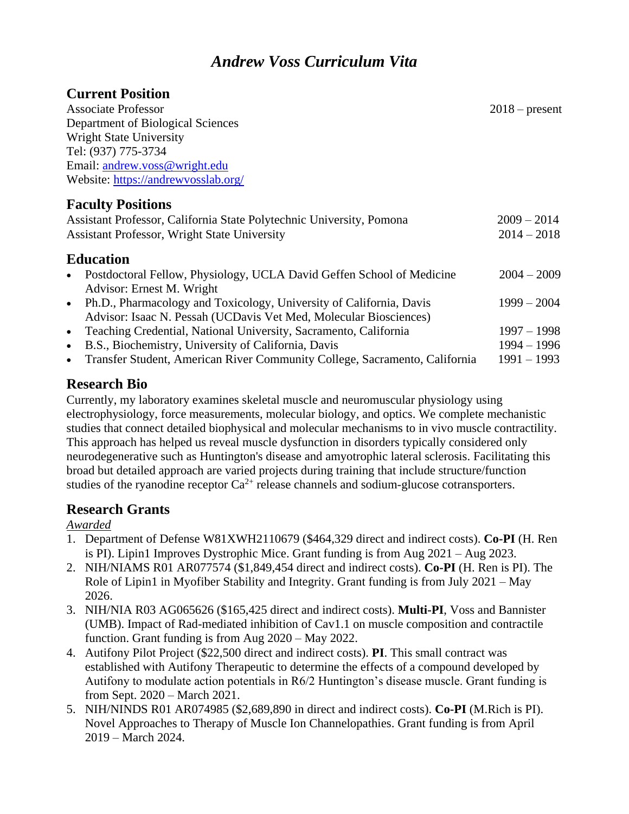# *Andrew Voss Curriculum Vita*

# **Current Position**

| <b>Associate Professor</b>                                                              | $2018$ – present |
|-----------------------------------------------------------------------------------------|------------------|
| Department of Biological Sciences                                                       |                  |
| <b>Wright State University</b>                                                          |                  |
| Tel: (937) 775-3734                                                                     |                  |
| Email: andrew.voss@wright.edu                                                           |                  |
| Website: https://andrewyosslab.org/                                                     |                  |
| <b>Faculty Positions</b>                                                                |                  |
| Assistant Professor, California State Polytechnic University, Pomona                    | $2009 - 2014$    |
| <b>Assistant Professor, Wright State University</b>                                     | $2014 - 2018$    |
| <b>Education</b>                                                                        |                  |
| Postdoctoral Fellow, Physiology, UCLA David Geffen School of Medicine<br>$\bullet$      | $2004 - 2009$    |
| Advisor: Ernest M. Wright                                                               |                  |
| Ph.D., Pharmacology and Toxicology, University of California, Davis<br>$\bullet$        | $1999 - 2004$    |
| Advisor: Isaac N. Pessah (UCDavis Vet Med, Molecular Biosciences)                       |                  |
| Teaching Credential, National University, Sacramento, California<br>$\bullet$           | $1997 - 1998$    |
| B.S., Biochemistry, University of California, Davis<br>$\bullet$                        | $1994 - 1996$    |
| Transfer Student, American River Community College, Sacramento, California<br>$\bullet$ | $1991 - 1993$    |

# **Research Bio**

Currently, my laboratory examines skeletal muscle and neuromuscular physiology using electrophysiology, force measurements, molecular biology, and optics. We complete mechanistic studies that connect detailed biophysical and molecular mechanisms to in vivo muscle contractility. This approach has helped us reveal muscle dysfunction in disorders typically considered only neurodegenerative such as Huntington's disease and amyotrophic lateral sclerosis. Facilitating this broad but detailed approach are varied projects during training that include structure/function studies of the ryanodine receptor  $Ca^{2+}$  release channels and sodium-glucose cotransporters.

# **Research Grants**

## *Awarded*

- 1. Department of Defense W81XWH2110679 (\$464,329 direct and indirect costs). **Co-PI** (H. Ren is PI). Lipin1 Improves Dystrophic Mice. Grant funding is from Aug 2021 – Aug 2023.
- 2. NIH/NIAMS R01 AR077574 (\$1,849,454 direct and indirect costs). **Co-PI** (H. Ren is PI). The Role of Lipin1 in Myofiber Stability and Integrity. Grant funding is from July 2021 – May 2026.
- 3. NIH/NIA R03 AG065626 (\$165,425 direct and indirect costs). **Multi-PI**, Voss and Bannister (UMB). Impact of Rad-mediated inhibition of Cav1.1 on muscle composition and contractile function. Grant funding is from Aug 2020 – May 2022.
- 4. Autifony Pilot Project (\$22,500 direct and indirect costs). **PI**. This small contract was established with Autifony Therapeutic to determine the effects of a compound developed by Autifony to modulate action potentials in R6/2 Huntington's disease muscle. Grant funding is from Sept. 2020 – March 2021.
- 5. NIH/NINDS R01 AR074985 (\$2,689,890 in direct and indirect costs). **Co-PI** (M.Rich is PI). Novel Approaches to Therapy of Muscle Ion Channelopathies. Grant funding is from April 2019 – March 2024.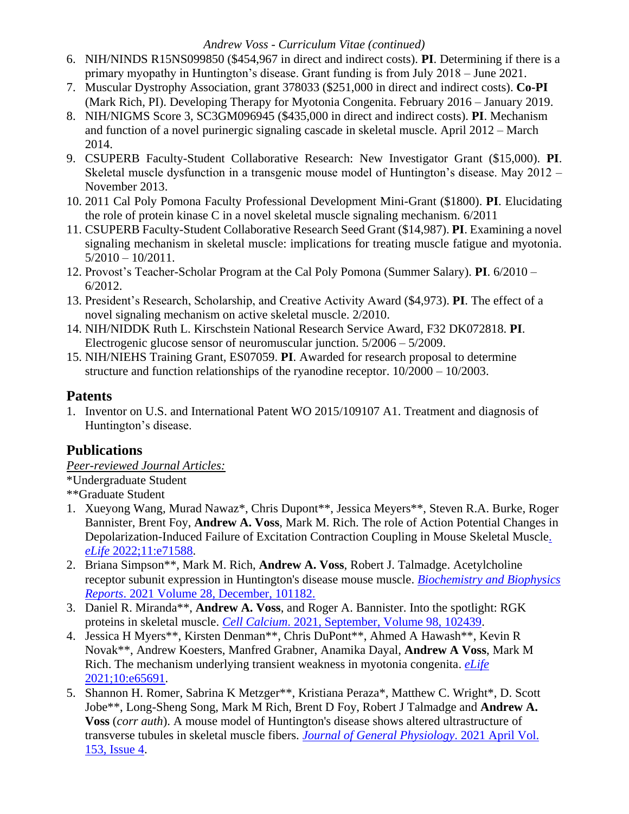- 6. NIH/NINDS R15NS099850 (\$454,967 in direct and indirect costs). **PI**. Determining if there is a primary myopathy in Huntington's disease. Grant funding is from July 2018 – June 2021.
- 7. Muscular Dystrophy Association, grant 378033 (\$251,000 in direct and indirect costs). **Co-PI** (Mark Rich, PI). Developing Therapy for Myotonia Congenita. February 2016 – January 2019.
- 8. NIH/NIGMS Score 3, SC3GM096945 (\$435,000 in direct and indirect costs). **PI**. Mechanism and function of a novel purinergic signaling cascade in skeletal muscle. April 2012 – March 2014.
- 9. CSUPERB Faculty-Student Collaborative Research: New Investigator Grant (\$15,000). **PI**. Skeletal muscle dysfunction in a transgenic mouse model of Huntington's disease. May 2012 – November 2013.
- 10. 2011 Cal Poly Pomona Faculty Professional Development Mini-Grant (\$1800). **PI**. Elucidating the role of protein kinase C in a novel skeletal muscle signaling mechanism. 6/2011
- 11. CSUPERB Faculty-Student Collaborative Research Seed Grant (\$14,987). **PI**. Examining a novel signaling mechanism in skeletal muscle: implications for treating muscle fatigue and myotonia.  $5/2010 - 10/2011$ .
- 12. Provost's Teacher-Scholar Program at the Cal Poly Pomona (Summer Salary). **PI**. 6/2010 6/2012.
- 13. President's Research, Scholarship, and Creative Activity Award (\$4,973). **PI**. The effect of a novel signaling mechanism on active skeletal muscle. 2/2010.
- 14. NIH/NIDDK Ruth L. Kirschstein National Research Service Award, F32 DK072818. **PI**. Electrogenic glucose sensor of neuromuscular junction. 5/2006 – 5/2009.
- 15. NIH/NIEHS Training Grant, ES07059. **PI**. Awarded for research proposal to determine structure and function relationships of the ryanodine receptor. 10/2000 – 10/2003.

# **Patents**

1. Inventor on U.S. and International Patent WO 2015/109107 A1. Treatment and diagnosis of Huntington's disease.

# **Publications**

*Peer-reviewed Journal Articles:*

\*Undergraduate Student

- \*\*Graduate Student
- 1. Xueyong Wang, Murad Nawaz\*, Chris Dupont\*\*, Jessica Meyers\*\*, Steven R.A. Burke, Roger Bannister, Brent Foy, **Andrew A. Voss**, Mark M. Rich. The role of Action Potential Changes in Depolarization-Induced Failure of Excitation Contraction Coupling in Mouse Skeletal Muscl[e.](https://elifesciences.org/articles/71588)  *eLife* [2022;11:e71588.](https://elifesciences.org/articles/71588)
- 2. Briana Simpson\*\*, Mark M. Rich, **Andrew A. Voss**, Robert J. Talmadge. Acetylcholine receptor subunit expression in Huntington's disease mouse muscle. *[Biochemistry and Biophysics](https://www.sciencedirect.com/science/article/pii/S2405580821002764)  Reports*[. 2021 Volume 28, December, 101182.](https://www.sciencedirect.com/science/article/pii/S2405580821002764)
- 3. Daniel R. Miranda\*\*, **Andrew A. Voss**, and Roger A. Bannister. Into the spotlight: RGK proteins in skeletal muscle. *Cell Calcium*[. 2021, September, Volume 98,](https://www.sciencedirect.com/science/article/pii/S0143416021000932?dgcid=rss_sd_all) 102439.
- 4. Jessica H Myers\*\*, Kirsten Denman\*\*, Chris DuPont\*\*, Ahmed A Hawash\*\*, Kevin R Novak\*\*, Andrew Koesters, Manfred Grabner, Anamika Dayal, **Andrew A Voss**, Mark M Rich. The mechanism underlying transient weakness in myotonia congenita. *[eLife](https://elifesciences.org/articles/65691)* [2021;10:e65691.](https://elifesciences.org/articles/65691)
- 5. Shannon H. Romer, Sabrina K Metzger\*\*, Kristiana Peraza\*, Matthew C. Wright\*, D. Scott Jobe\*\*, Long-Sheng Song, Mark M Rich, Brent D Foy, Robert J Talmadge and **Andrew A. Voss** (*corr auth*). A mouse model of Huntington's disease shows altered ultrastructure of transverse tubules in skeletal muscle fibers. *[Journal of General Physiology](https://rupress.org/jgp/article/153/4/e202012637/211860/A-mouse-model-of-Huntington-s-disease-shows)*. 2021 April Vol. [153, Issue 4.](https://rupress.org/jgp/article/153/4/e202012637/211860/A-mouse-model-of-Huntington-s-disease-shows)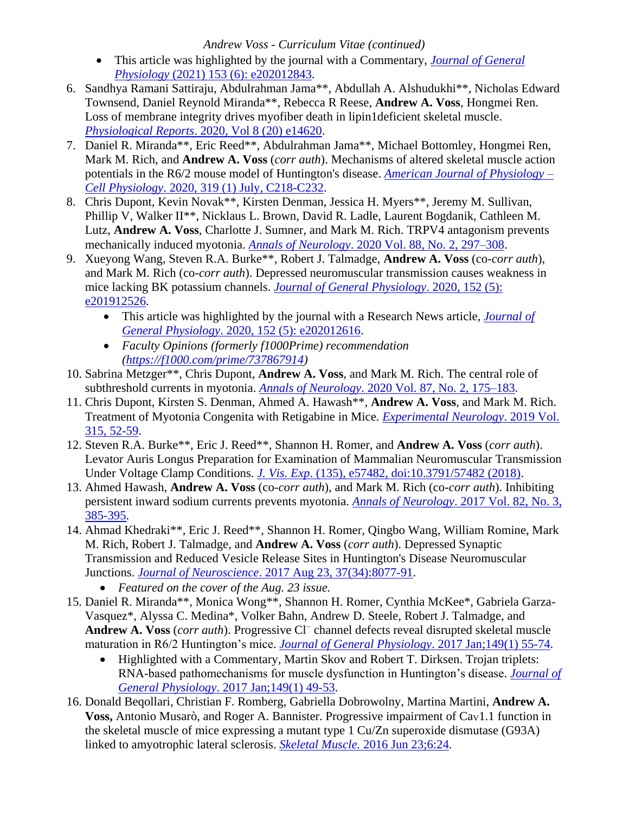- This article was highlighted by the journal with a Commentary, *[Journal of General](https://rupress.org/jgp/article/153/6/e202012843/212094/Huntington-s-disease-skeletal-muscle-has-altered-T)  Physiology* [\(2021\) 153 \(6\): e202012843.](https://rupress.org/jgp/article/153/6/e202012843/212094/Huntington-s-disease-skeletal-muscle-has-altered-T)
- 6. Sandhya Ramani Sattiraju, Abdulrahman Jama\*\*, Abdullah A. Alshudukhi\*\*, Nicholas Edward Townsend, Daniel Reynold Miranda\*\*, Rebecca R Reese, **Andrew A. Voss**, Hongmei Ren. Loss of membrane integrity drives myofiber death in lipin1deficient skeletal muscle. *Physiological Reports*[. 2020, Vol 8 \(20\) e14620.](https://physoc.onlinelibrary.wiley.com/doi/full/10.14814/phy2.14620)
- 7. Daniel R. Miranda\*\*, Eric Reed\*\*, Abdulrahman Jama\*\*, Michael Bottomley, Hongmei Ren, Mark M. Rich, and **Andrew A. Voss** (*corr auth*). Mechanisms of altered skeletal muscle action potentials in the R6/2 mouse model of Huntington's disease. *[American Journal of Physiology –](https://journals.physiology.org/doi/abs/10.1152/ajpcell.00153.2020) Cell Physiology*. [2020, 319 \(1\) July, C218-C232.](https://journals.physiology.org/doi/abs/10.1152/ajpcell.00153.2020)
- 8. Chris Dupont, Kevin Novak\*\*, Kirsten Denman, Jessica H. Myers\*\*, Jeremy M. Sullivan, Phillip V, Walker II\*\*, Nicklaus L. Brown, David R. Ladle, Laurent Bogdanik, Cathleen M. Lutz, **Andrew A. Voss**, Charlotte J. Sumner, and Mark M. Rich. TRPV4 antagonism prevents mechanically induced myotonia. *Annals of Neurology*. [2020 Vol. 88, No. 2, 297–308.](https://onlinelibrary.wiley.com/doi/abs/10.1002/ana.25780)
- 9. Xueyong Wang, Steven R.A. Burke\*\*, Robert J. Talmadge, **Andrew A. Voss** (co-*corr auth*), and Mark M. Rich (co-*corr auth*). Depressed neuromuscular transmission causes weakness in mice lacking BK potassium channels. *[Journal of General Physiology](https://rupress.org/jgp/article/152/5/e201912526/151617/Depressed-neuromuscular-transmission-causes?searchresult=1)*. 2020, 152 (5): [e201912526.](https://rupress.org/jgp/article/152/5/e201912526/151617/Depressed-neuromuscular-transmission-causes?searchresult=1)
	- This article was highlighted by the journal with a Research News article, *[Journal of](https://rupress.org/jgp/article/152/5/e202012616/151685/BK-channels-promote-neuromuscular-transmission?searchresult=1)  General Physiology*[. 2020, 152 \(5\): e202012616.](https://rupress.org/jgp/article/152/5/e202012616/151685/BK-channels-promote-neuromuscular-transmission?searchresult=1)
	- *Faculty Opinions (formerly f1000Prime) recommendation [\(https://f1000.com/prime/737867914\)](https://f1000.com/prime/737867914)*
- 10. Sabrina Metzger\*\*, Chris Dupont, **Andrew A. Voss**, and Mark M. Rich. The central role of subthreshold currents in myotonia. *Annals of Neurology*[. 2020 Vol. 87, No. 2, 175–183.](https://onlinelibrary.wiley.com/doi/10.1002/ana.25646)
- 11. Chris Dupont, Kirsten S. Denman, Ahmed A. Hawash\*\*, **Andrew A. Voss**, and Mark M. Rich. Treatment of Myotonia Congenita with Retigabine in Mice. *[Experimental Neurology](https://www.sciencedirect.com/science/article/pii/S0014488618305089)*. 2019 Vol. [315, 52-59.](https://www.sciencedirect.com/science/article/pii/S0014488618305089)
- 12. Steven R.A. Burke\*\*, Eric J. Reed\*\*, Shannon H. Romer, and **Andrew A. Voss** (*corr auth*). Levator Auris Longus Preparation for Examination of Mammalian Neuromuscular Transmission Under Voltage Clamp Conditions. *J. Vis. Exp*[. \(135\), e57482, doi:10.3791/57482 \(2018\).](https://www.jove.com/video/57482/levator-auris-longus-preparation-for-examination-mammalian)
- 13. Ahmed Hawash, **Andrew A. Voss** (co-*corr auth*), and Mark M. Rich (co-*corr auth*). Inhibiting persistent inward sodium currents prevents myotonia. *[Annals of Neurology](http://onlinelibrary.wiley.com/doi/10.1002/ana.25017/full)*. 2017 Vol. 82, No. 3, [385-395.](http://onlinelibrary.wiley.com/doi/10.1002/ana.25017/full)
- 14. Ahmad Khedraki\*\*, Eric J. Reed\*\*, Shannon H. Romer, Qingbo Wang, William Romine, Mark M. Rich, Robert J. Talmadge, and **Andrew A. Voss** (*corr auth*). Depressed Synaptic Transmission and Reduced Vesicle Release Sites in Huntington's Disease Neuromuscular Junctions. *Journal of Neuroscience*[. 2017 Aug 23, 37\(34\):8077-91.](http://www.jneurosci.org/content/37/34/8077)
	- *Featured on the cover of the Aug. 23 issue.*
- 15. Daniel R. Miranda\*\*, Monica Wong\*\*, Shannon H. Romer, Cynthia McKee\*, Gabriela Garza-Vasquez\*, Alyssa C. Medina\*, Volker Bahn, Andrew D. Steele, Robert J. Talmadge, and **Andrew A. Voss** (*corr auth*). Progressive Cl<sup>−</sup> channel defects reveal disrupted skeletal muscle maturation in R6/2 Huntington's mice. *[Journal of General Physiology](http://jgp.rupress.org/content/149/1/55)*. 2017 Jan;149(1) 55-74.
	- Highlighted with a Commentary, Martin Skov and Robert T. Dirksen. Trojan triplets: RNA-based pathomechanisms for muscle dysfunction in Huntington's disease. *[Journal of](http://jgp.rupress.org/content/149/1/49)  General Physiology*[. 2017 Jan;149\(1\) 49-53.](http://jgp.rupress.org/content/149/1/49)
- 16. Donald Beqollari, Christian F. Romberg, Gabriella Dobrowolny, Martina Martini, **Andrew A.**  Voss, Antonio Musarò, and Roger A. Bannister. Progressive impairment of Cav1.1 function in the skeletal muscle of mice expressing a mutant type 1 Cu/Zn superoxide dismutase (G93A) linked to amyotrophic lateral sclerosis. *Skeletal Muscle.* [2016 Jun 23;6:24.](https://www.ncbi.nlm.nih.gov/pmc/articles/PMC4918102/)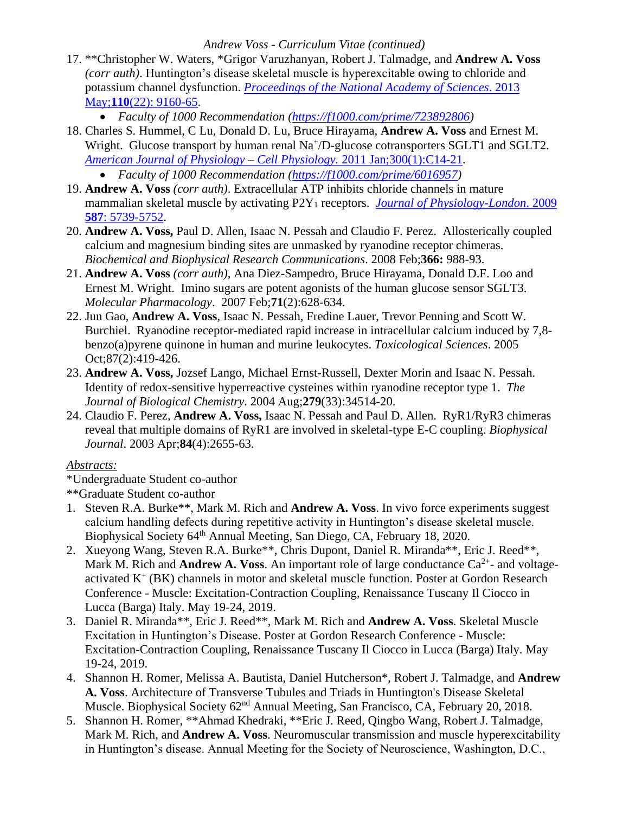- 17. \*\*Christopher W. Waters, \*Grigor Varuzhanyan, Robert J. Talmadge, and **Andrew A. Voss** *(corr auth)*. Huntington's disease skeletal muscle is hyperexcitable owing to chloride and potassium channel dysfunction. *[Proceedings of the National Academy of Sciences](http://www.pnas.org/content/110/22/9160.full.pdf?with-ds=yes)*. 2013 May;**110**[\(22\): 9160-65.](http://www.pnas.org/content/110/22/9160.full.pdf?with-ds=yes)
	- *Faculty of 1000 Recommendation [\(https://f1000.com/prime/723892806\)](https://f1000.com/prime/723892806)*
- 18. Charles S. Hummel, C Lu, Donald D. Lu, Bruce Hirayama, **Andrew A. Voss** and Ernest M. Wright. Glucose transport by human renal Na<sup>+</sup>/D-glucose cotransporters SGLT1 and SGLT2. *[American Journal of Physiology –](http://ajpcell.physiology.org/content/300/1/C14.long) Cell Physiology.* 2011 Jan;300(1):C14-21.
	- *Faculty of 1000 Recommendation [\(https://f1000.com/prime/6016957\)](https://f1000.com/prime/6016957)*
- 19. **Andrew A. Voss** *(corr auth)*. Extracellular ATP inhibits chloride channels in mature mammalian skeletal muscle by activating P2Y<sup>1</sup> receptors. *[Journal of Physiology-London](http://onlinelibrary.wiley.com/doi/10.1113/jphysiol.2009.179275/abstract;jsessionid=49768C724C5D243803DD6ECA99369717.f02t02)*. 2009 **587**[: 5739-5752.](http://onlinelibrary.wiley.com/doi/10.1113/jphysiol.2009.179275/abstract;jsessionid=49768C724C5D243803DD6ECA99369717.f02t02)
- 20. **Andrew A. Voss,** Paul D. Allen, Isaac N. Pessah and Claudio F. Perez. Allosterically coupled calcium and magnesium binding sites are unmasked by ryanodine receptor chimeras. *Biochemical and Biophysical Research Communications*. 2008 Feb;**366:** 988-93.
- 21. **Andrew A. Voss** *(corr auth)*, Ana Diez-Sampedro, Bruce Hirayama, Donald D.F. Loo and Ernest M. Wright. Imino sugars are potent agonists of the human glucose sensor SGLT3. *Molecular Pharmacology*. 2007 Feb;**71**(2):628-634.
- 22. Jun Gao, **Andrew A. Voss**, Isaac N. Pessah, Fredine Lauer, Trevor Penning and Scott W. Burchiel. Ryanodine receptor-mediated rapid increase in intracellular calcium induced by 7,8 benzo(a)pyrene quinone in human and murine leukocytes. *Toxicological Sciences*. 2005 Oct;87(2):419-426.
- 23. **Andrew A. Voss,** Jozsef Lango, Michael Ernst-Russell, Dexter Morin and Isaac N. Pessah. Identity of redox-sensitive hyperreactive cysteines within ryanodine receptor type 1. *The Journal of Biological Chemistry*. 2004 Aug;**279**(33):34514-20.
- 24. Claudio F. Perez, **Andrew A. Voss,** Isaac N. Pessah and Paul D. Allen. RyR1/RyR3 chimeras reveal that multiple domains of RyR1 are involved in skeletal-type E-C coupling. *Biophysical Journal*. 2003 Apr;**84**(4):2655-63.

#### *Abstracts:*

\*Undergraduate Student co-author

\*\*Graduate Student co-author

- 1. Steven R.A. Burke\*\*, Mark M. Rich and **Andrew A. Voss**. In vivo force experiments suggest calcium handling defects during repetitive activity in Huntington's disease skeletal muscle. Biophysical Society 64<sup>th</sup> Annual Meeting, San Diego, CA, February 18, 2020.
- 2. Xueyong Wang, Steven R.A. Burke\*\*, Chris Dupont, Daniel R. Miranda\*\*, Eric J. Reed\*\*, Mark M. Rich and **Andrew A. Voss**. An important role of large conductance  $Ca^{2+}$ - and voltageactivated K<sup>+</sup> (BK) channels in motor and skeletal muscle function. Poster at Gordon Research Conference - Muscle: Excitation-Contraction Coupling, Renaissance Tuscany Il Ciocco in Lucca (Barga) Italy. May 19-24, 2019.
- 3. Daniel R. Miranda\*\*, Eric J. Reed\*\*, Mark M. Rich and **Andrew A. Voss**. Skeletal Muscle Excitation in Huntington's Disease. Poster at Gordon Research Conference - Muscle: Excitation-Contraction Coupling, Renaissance Tuscany Il Ciocco in Lucca (Barga) Italy. May 19-24, 2019.
- 4. Shannon H. Romer, Melissa A. Bautista, Daniel Hutcherson\*, Robert J. Talmadge, and **Andrew A. Voss**. Architecture of Transverse Tubules and Triads in Huntington's Disease Skeletal Muscle. Biophysical Society 62<sup>nd</sup> Annual Meeting, San Francisco, CA, February 20, 2018.
- 5. Shannon H. Romer, \*\*Ahmad Khedraki, \*\*Eric J. Reed, Qingbo Wang, Robert J. Talmadge, Mark M. Rich, and **Andrew A. Voss**. Neuromuscular transmission and muscle hyperexcitability in Huntington's disease. Annual Meeting for the Society of Neuroscience, Washington, D.C.,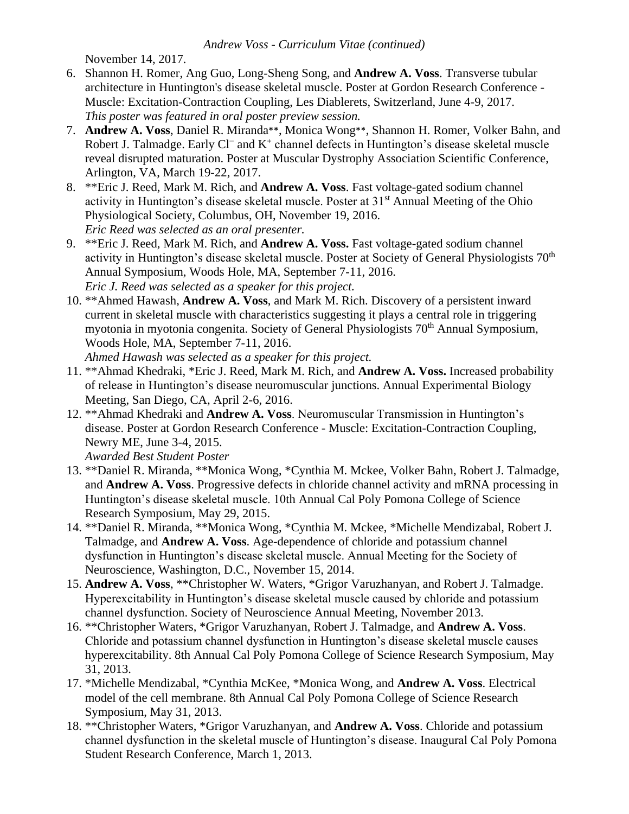November 14, 2017.

- 6. Shannon H. Romer, Ang Guo, Long-Sheng Song, and **Andrew A. Voss**. Transverse tubular architecture in Huntington's disease skeletal muscle. Poster at Gordon Research Conference - Muscle: Excitation-Contraction Coupling, Les Diablerets, Switzerland, June 4-9, 2017. *This poster was featured in oral poster preview session.*
- 7. **Andrew A. Voss**, Daniel R. Miranda\*\*, Monica Wong\*\*, Shannon H. Romer, Volker Bahn, and Robert J. Talmadge. Early Cl<sup>−</sup> and K<sup>+</sup> channel defects in Huntington's disease skeletal muscle reveal disrupted maturation. Poster at Muscular Dystrophy Association Scientific Conference, Arlington, VA, March 19-22, 2017.
- 8. \*\*Eric J. Reed, Mark M. Rich, and **Andrew A. Voss**. Fast voltage-gated sodium channel activity in Huntington's disease skeletal muscle. Poster at 31<sup>st</sup> Annual Meeting of the Ohio Physiological Society, Columbus, OH, November 19, 2016. *Eric Reed was selected as an oral presenter.*
- 9. \*\*Eric J. Reed, Mark M. Rich, and **Andrew A. Voss.** Fast voltage-gated sodium channel activity in Huntington's disease skeletal muscle. Poster at Society of General Physiologists 70<sup>th</sup> Annual Symposium, Woods Hole, MA, September 7-11, 2016. *Eric J. Reed was selected as a speaker for this project.*
- 10. \*\*Ahmed Hawash, **Andrew A. Voss**, and Mark M. Rich. Discovery of a persistent inward current in skeletal muscle with characteristics suggesting it plays a central role in triggering myotonia in myotonia congenita. Society of General Physiologists 70<sup>th</sup> Annual Symposium, Woods Hole, MA, September 7-11, 2016.
	- *Ahmed Hawash was selected as a speaker for this project.*
- 11. \*\*Ahmad Khedraki, \*Eric J. Reed, Mark M. Rich, and **Andrew A. Voss.** Increased probability of release in Huntington's disease neuromuscular junctions. Annual Experimental Biology Meeting, San Diego, CA, April 2-6, 2016.
- 12. \*\*Ahmad Khedraki and **Andrew A. Voss**. Neuromuscular Transmission in Huntington's disease. Poster at Gordon Research Conference - Muscle: Excitation-Contraction Coupling, Newry ME, June 3-4, 2015.

*Awarded Best Student Poster*

- 13. \*\*Daniel R. Miranda, \*\*Monica Wong, \*Cynthia M. Mckee, Volker Bahn, Robert J. Talmadge, and **Andrew A. Voss**. Progressive defects in chloride channel activity and mRNA processing in Huntington's disease skeletal muscle. 10th Annual Cal Poly Pomona College of Science Research Symposium, May 29, 2015.
- 14. \*\*Daniel R. Miranda, \*\*Monica Wong, \*Cynthia M. Mckee, \*Michelle Mendizabal, Robert J. Talmadge, and **Andrew A. Voss**. Age-dependence of chloride and potassium channel dysfunction in Huntington's disease skeletal muscle. Annual Meeting for the Society of Neuroscience, Washington, D.C., November 15, 2014.
- 15. **Andrew A. Voss**, \*\*Christopher W. Waters, \*Grigor Varuzhanyan, and Robert J. Talmadge. Hyperexcitability in Huntington's disease skeletal muscle caused by chloride and potassium channel dysfunction. Society of Neuroscience Annual Meeting, November 2013.
- 16. \*\*Christopher Waters, \*Grigor Varuzhanyan, Robert J. Talmadge, and **Andrew A. Voss**. Chloride and potassium channel dysfunction in Huntington's disease skeletal muscle causes hyperexcitability. 8th Annual Cal Poly Pomona College of Science Research Symposium, May 31, 2013.
- 17. \*Michelle Mendizabal, \*Cynthia McKee, \*Monica Wong, and **Andrew A. Voss**. Electrical model of the cell membrane. 8th Annual Cal Poly Pomona College of Science Research Symposium, May 31, 2013.
- 18. \*\*Christopher Waters, \*Grigor Varuzhanyan, and **Andrew A. Voss**. Chloride and potassium channel dysfunction in the skeletal muscle of Huntington's disease. Inaugural Cal Poly Pomona Student Research Conference, March 1, 2013.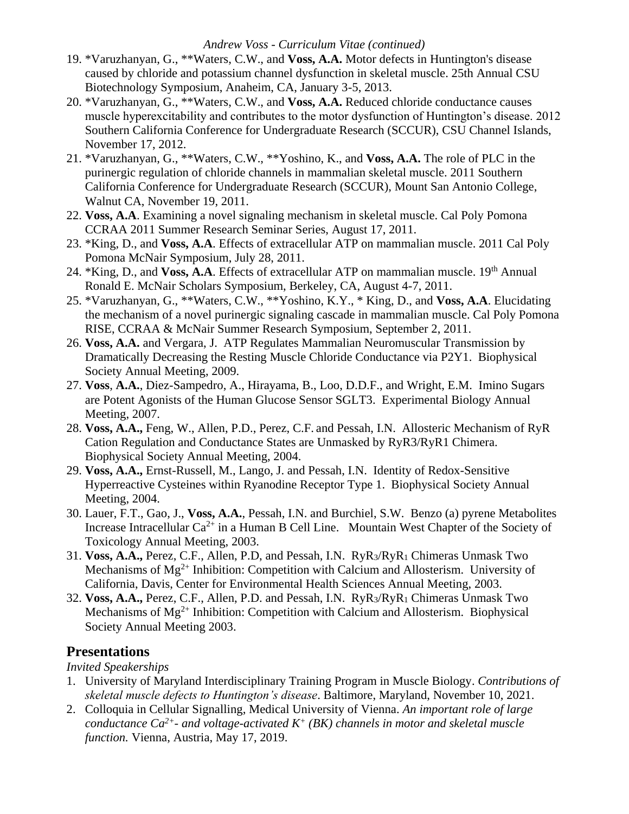- 19. \*Varuzhanyan, G., \*\*Waters, C.W., and **Voss, A.A.** Motor defects in Huntington's disease caused by chloride and potassium channel dysfunction in skeletal muscle. 25th Annual CSU Biotechnology Symposium, Anaheim, CA, January 3-5, 2013.
- 20. \*Varuzhanyan, G., \*\*Waters, C.W., and **Voss, A.A.** Reduced chloride conductance causes muscle hyperexcitability and contributes to the motor dysfunction of Huntington's disease. 2012 Southern California Conference for Undergraduate Research (SCCUR), CSU Channel Islands, November 17, 2012.
- 21. \*Varuzhanyan, G., \*\*Waters, C.W., \*\*Yoshino, K., and **Voss, A.A.** The role of PLC in the purinergic regulation of chloride channels in mammalian skeletal muscle. 2011 Southern California Conference for Undergraduate Research (SCCUR), Mount San Antonio College, Walnut CA, November 19, 2011.
- 22. **Voss, A.A**. Examining a novel signaling mechanism in skeletal muscle. Cal Poly Pomona CCRAA 2011 Summer Research Seminar Series, August 17, 2011.
- 23. \*King, D., and **Voss, A.A**. Effects of extracellular ATP on mammalian muscle. 2011 Cal Poly Pomona McNair Symposium, July 28, 2011.
- 24. \*King, D., and **Voss, A.A**. Effects of extracellular ATP on mammalian muscle. 19<sup>th</sup> Annual Ronald E. McNair Scholars Symposium, Berkeley, CA, August 4-7, 2011.
- 25. \*Varuzhanyan, G., \*\*Waters, C.W., \*\*Yoshino, K.Y., \* King, D., and **Voss, A.A**. Elucidating the mechanism of a novel purinergic signaling cascade in mammalian muscle. Cal Poly Pomona RISE, CCRAA & McNair Summer Research Symposium, September 2, 2011.
- 26. **Voss, A.A.** and Vergara, J. ATP Regulates Mammalian Neuromuscular Transmission by Dramatically Decreasing the Resting Muscle Chloride Conductance via P2Y1. Biophysical Society Annual Meeting, 2009.
- 27. **Voss**, **A.A.**, Diez-Sampedro, A., Hirayama, B., Loo, D.D.F., and Wright, E.M. Imino Sugars are Potent Agonists of the Human Glucose Sensor SGLT3. Experimental Biology Annual Meeting, 2007.
- 28. **Voss, A.A.,** Feng, W., Allen, P.D., Perez, C.F. and Pessah, I.N. Allosteric Mechanism of RyR Cation Regulation and Conductance States are Unmasked by RyR3/RyR1 Chimera. Biophysical Society Annual Meeting, 2004.
- 29. **Voss, A.A.,** Ernst-Russell, M., Lango, J. and Pessah, I.N. Identity of Redox-Sensitive Hyperreactive Cysteines within Ryanodine Receptor Type 1. Biophysical Society Annual Meeting, 2004.
- 30. Lauer, F.T., Gao, J., **Voss, A.A.**, Pessah, I.N. and Burchiel, S.W. Benzo (a) pyrene Metabolites Increase Intracellular  $Ca^{2+}$  in a Human B Cell Line. Mountain West Chapter of the Society of Toxicology Annual Meeting, 2003.
- 31. **Voss, A.A.,** Perez, C.F., Allen, P.D, and Pessah, I.N. RyR3/RyR<sup>1</sup> Chimeras Unmask Two Mechanisms of  $Mg^{2+}$  Inhibition: Competition with Calcium and Allosterism. University of California, Davis, Center for Environmental Health Sciences Annual Meeting, 2003.
- 32. **Voss, A.A.,** Perez, C.F., Allen, P.D. and Pessah, I.N. RyR3/RyR<sup>1</sup> Chimeras Unmask Two Mechanisms of  $Mg^{2+}$  Inhibition: Competition with Calcium and Allosterism. Biophysical Society Annual Meeting 2003.

# **Presentations**

*Invited Speakerships*

- 1. University of Maryland Interdisciplinary Training Program in Muscle Biology. *Contributions of skeletal muscle defects to Huntington's disease*. Baltimore, Maryland, November 10, 2021.
- 2. Colloquia in Cellular Signalling, Medical University of Vienna. *An important role of large conductance Ca2+- and voltage-activated K<sup>+</sup> (BK) channels in motor and skeletal muscle function.* Vienna, Austria, May 17, 2019.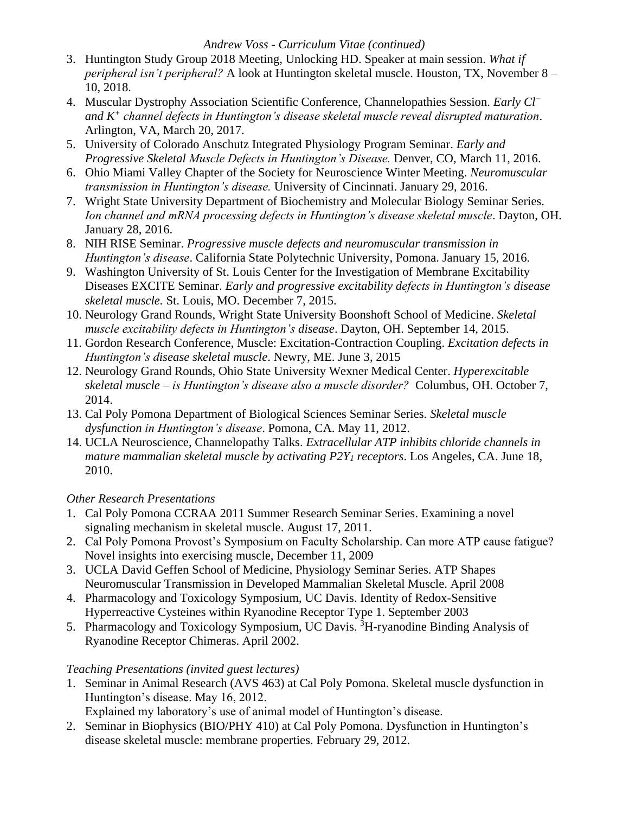- 3. Huntington Study Group 2018 Meeting, Unlocking HD. Speaker at main session. *What if peripheral isn't peripheral?* A look at Huntington skeletal muscle. Houston, TX, November 8 – 10, 2018.
- 4. Muscular Dystrophy Association Scientific Conference, Channelopathies Session. *Early Cl<sup>−</sup> and K<sup>+</sup> channel defects in Huntington's disease skeletal muscle reveal disrupted maturation*. Arlington, VA, March 20, 2017.
- 5. University of Colorado Anschutz Integrated Physiology Program Seminar. *Early and Progressive Skeletal Muscle Defects in Huntington's Disease.* Denver, CO, March 11, 2016.
- 6. Ohio Miami Valley Chapter of the Society for Neuroscience Winter Meeting. *Neuromuscular transmission in Huntington's disease.* University of Cincinnati. January 29, 2016.
- 7. Wright State University Department of Biochemistry and Molecular Biology Seminar Series. *Ion channel and mRNA processing defects in Huntington's disease skeletal muscle*. Dayton, OH. January 28, 2016.
- 8. NIH RISE Seminar. *Progressive muscle defects and neuromuscular transmission in Huntington's disease*. California State Polytechnic University, Pomona. January 15, 2016.
- 9. Washington University of St. Louis Center for the Investigation of Membrane Excitability Diseases EXCITE Seminar. *Early and progressive excitability defects in Huntington's disease skeletal muscle.* St. Louis, MO. December 7, 2015.
- 10. Neurology Grand Rounds, Wright State University Boonshoft School of Medicine. *Skeletal muscle excitability defects in Huntington's disease*. Dayton, OH. September 14, 2015.
- 11. Gordon Research Conference, Muscle: Excitation-Contraction Coupling. *Excitation defects in Huntington's disease skeletal muscle*. Newry, ME. June 3, 2015
- 12. Neurology Grand Rounds, Ohio State University Wexner Medical Center. *Hyperexcitable skeletal muscle – is Huntington's disease also a muscle disorder?* Columbus, OH. October 7, 2014.
- 13. Cal Poly Pomona Department of Biological Sciences Seminar Series. *Skeletal muscle dysfunction in Huntington's disease*. Pomona, CA. May 11, 2012.
- 14. UCLA Neuroscience, Channelopathy Talks. *Extracellular ATP inhibits chloride channels in mature mammalian skeletal muscle by activating P2Y<sup>1</sup> receptors*. Los Angeles, CA. June 18, 2010.

## *Other Research Presentations*

- 1. Cal Poly Pomona CCRAA 2011 Summer Research Seminar Series. Examining a novel signaling mechanism in skeletal muscle. August 17, 2011.
- 2. Cal Poly Pomona Provost's Symposium on Faculty Scholarship. Can more ATP cause fatigue? Novel insights into exercising muscle, December 11, 2009
- 3. UCLA David Geffen School of Medicine, Physiology Seminar Series. ATP Shapes Neuromuscular Transmission in Developed Mammalian Skeletal Muscle. April 2008
- 4. Pharmacology and Toxicology Symposium, UC Davis. Identity of Redox-Sensitive Hyperreactive Cysteines within Ryanodine Receptor Type 1. September 2003
- 5. Pharmacology and Toxicology Symposium, UC Davis. <sup>3</sup>H-ryanodine Binding Analysis of Ryanodine Receptor Chimeras. April 2002.

# *Teaching Presentations (invited guest lectures)*

- 1. Seminar in Animal Research (AVS 463) at Cal Poly Pomona. Skeletal muscle dysfunction in Huntington's disease. May 16, 2012.
- Explained my laboratory's use of animal model of Huntington's disease.
- 2. Seminar in Biophysics (BIO/PHY 410) at Cal Poly Pomona. Dysfunction in Huntington's disease skeletal muscle: membrane properties. February 29, 2012.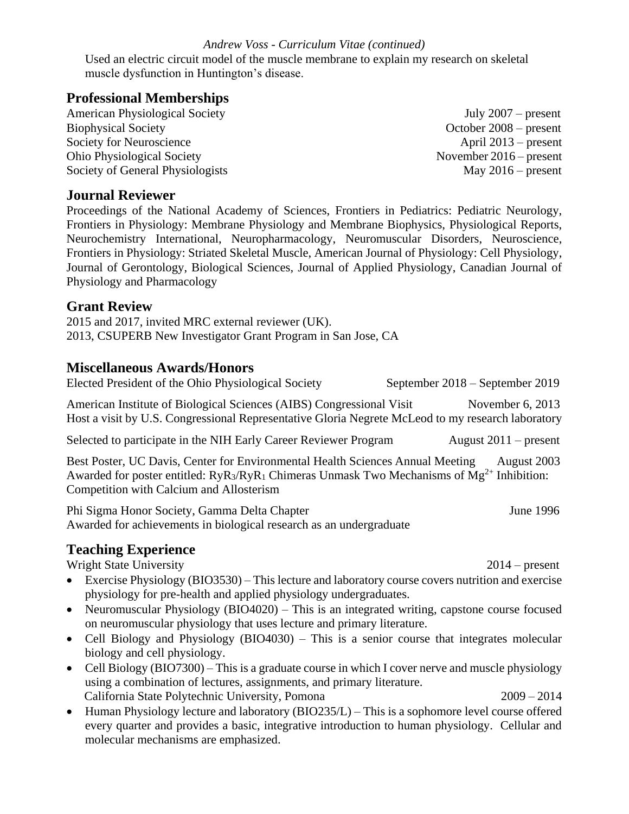Used an electric circuit model of the muscle membrane to explain my research on skeletal muscle dysfunction in Huntington's disease.

## **Professional Memberships**

American Physiological Society July 2007 – present Biophysical Society October 2008 – present Society for Neuroscience April 2013 – present Ohio Physiological Society November 2016 – present Society of General Physiologists May 2016 – present

## **Journal Reviewer**

Proceedings of the National Academy of Sciences, Frontiers in Pediatrics: Pediatric Neurology, Frontiers in Physiology: Membrane Physiology and Membrane Biophysics, Physiological Reports, Neurochemistry International, Neuropharmacology, Neuromuscular Disorders, Neuroscience, Frontiers in Physiology: Striated Skeletal Muscle, American Journal of Physiology: Cell Physiology, Journal of Gerontology, Biological Sciences, Journal of Applied Physiology, Canadian Journal of Physiology and Pharmacology

### **Grant Review**

2015 and 2017, invited MRC external reviewer (UK). 2013, CSUPERB New Investigator Grant Program in San Jose, CA

### **Miscellaneous Awards/Honors**

Elected President of the Ohio Physiological Society September 2018 – September 2019

American Institute of Biological Sciences (AIBS) Congressional Visit November 6, 2013 Host a visit by U.S. Congressional Representative Gloria Negrete McLeod to my research laboratory

Selected to participate in the NIH Early Career Reviewer Program August 2011 – present

Best Poster, UC Davis, Center for Environmental Health Sciences Annual Meeting August 2003 Awarded for poster entitled:  $RyR_3/RyR_1$  Chimeras Unmask Two Mechanisms of  $Mg^{2+}$  Inhibition: Competition with Calcium and Allosterism

Phi Sigma Honor Society, Gamma Delta Chapter June 1996 Awarded for achievements in biological research as an undergraduate

## **Teaching Experience**

Wright State University 2014 – present

- Exercise Physiology (BIO3530) This lecture and laboratory course covers nutrition and exercise physiology for pre-health and applied physiology undergraduates.
- Neuromuscular Physiology (BIO4020) This is an integrated writing, capstone course focused on neuromuscular physiology that uses lecture and primary literature.
- Cell Biology and Physiology (BIO4030) This is a senior course that integrates molecular biology and cell physiology.
- Cell Biology (BIO7300) This is a graduate course in which I cover nerve and muscle physiology using a combination of lectures, assignments, and primary literature. California State Polytechnic University, Pomona 2009 – 2014
- Human Physiology lecture and laboratory (BIO235/L) This is a sophomore level course offered every quarter and provides a basic, integrative introduction to human physiology. Cellular and molecular mechanisms are emphasized.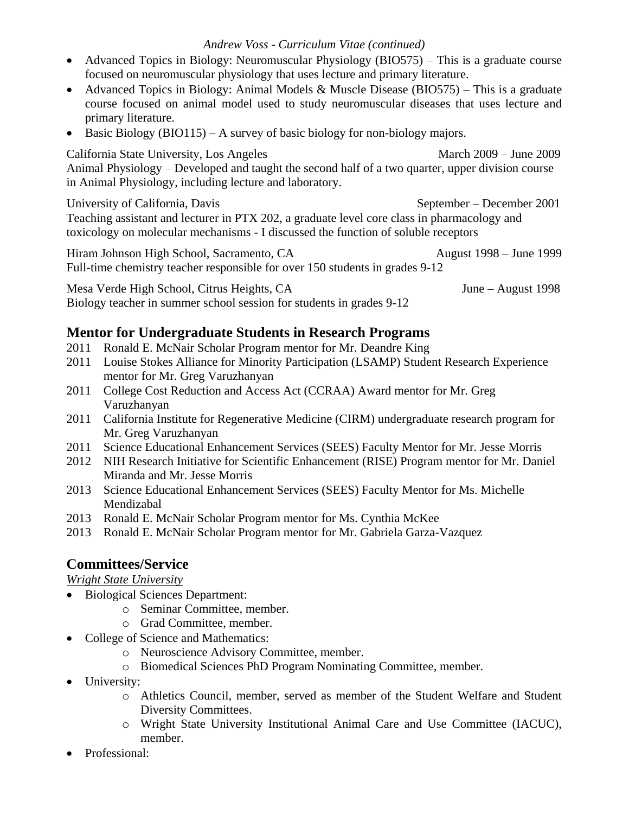- Advanced Topics in Biology: Neuromuscular Physiology (BIO575) This is a graduate course focused on neuromuscular physiology that uses lecture and primary literature.
- Advanced Topics in Biology: Animal Models & Muscle Disease (BIO575) This is a graduate course focused on animal model used to study neuromuscular diseases that uses lecture and primary literature.
- Basic Biology (BIO115) A survey of basic biology for non-biology majors.

California State University, Los Angeles March 2009 – June 2009 Animal Physiology – Developed and taught the second half of a two quarter, upper division course in Animal Physiology, including lecture and laboratory.

University of California, Davis September – December 2001 Teaching assistant and lecturer in PTX 202, a graduate level core class in pharmacology and toxicology on molecular mechanisms - I discussed the function of soluble receptors

Hiram Johnson High School, Sacramento, CA August 1998 – June 1999 Full-time chemistry teacher responsible for over 150 students in grades 9-12

Mesa Verde High School, Citrus Heights, CA June – August 1998 Biology teacher in summer school session for students in grades 9-12

# **Mentor for Undergraduate Students in Research Programs**

- 2011 Ronald E. McNair Scholar Program mentor for Mr. Deandre King
- 2011 Louise Stokes Alliance for Minority Participation (LSAMP) Student Research Experience mentor for Mr. Greg Varuzhanyan
- 2011 College Cost Reduction and Access Act (CCRAA) Award mentor for Mr. Greg Varuzhanyan
- 2011 California Institute for Regenerative Medicine (CIRM) undergraduate research program for Mr. Greg Varuzhanyan
- 2011 Science Educational Enhancement Services (SEES) Faculty Mentor for Mr. Jesse Morris
- 2012 NIH Research Initiative for Scientific Enhancement (RISE) Program mentor for Mr. Daniel Miranda and Mr. Jesse Morris
- 2013 Science Educational Enhancement Services (SEES) Faculty Mentor for Ms. Michelle Mendizabal
- 2013 Ronald E. McNair Scholar Program mentor for Ms. Cynthia McKee
- 2013 Ronald E. McNair Scholar Program mentor for Mr. Gabriela Garza-Vazquez

# **Committees/Service**

## *Wright State University*

- Biological Sciences Department:
	- o Seminar Committee, member.
	- o Grad Committee, member.
- College of Science and Mathematics:
	- o Neuroscience Advisory Committee, member.
	- o Biomedical Sciences PhD Program Nominating Committee, member.
- University:
	- o Athletics Council, member, served as member of the Student Welfare and Student Diversity Committees.
	- o Wright State University Institutional Animal Care and Use Committee (IACUC), member.
- Professional: